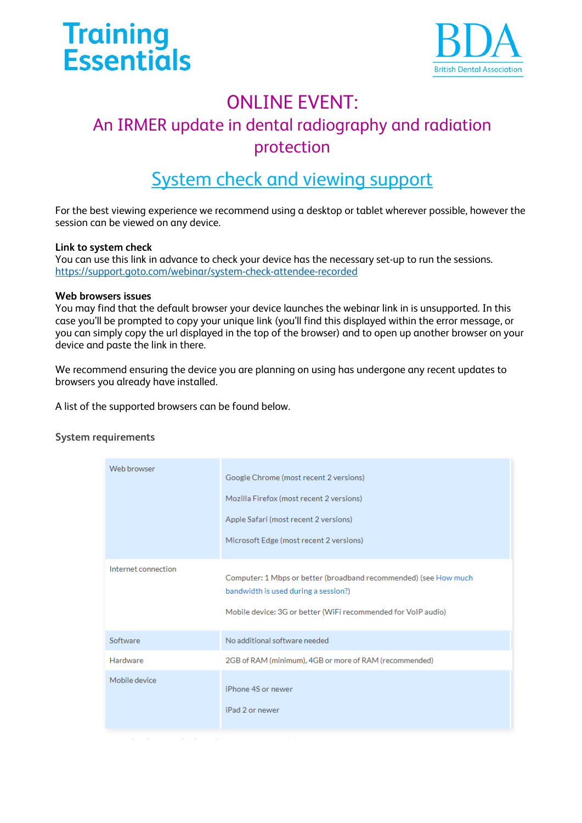



# ONI INF EVENT<sup>.</sup>

# An IRMER update in dental radiography and radiation protection

### System check and viewing support

For the best viewing experience we recommend using a desktop or tablet wherever possible, however the session can be viewed on any device.

#### **Link to system check**

You can use this link in advance to check your device has the necessary set-up to run the sessions. <https://support.goto.com/webinar/system-check-attendee-recorded>

#### **Web browsers issues**

You may find that the default browser your device launches the webinar link in is unsupported. In this case you'll be prompted to copy your unique link (you'll find this displayed within the error message, or you can simply copy the url displayed in the top of the browser) and to open up another browser on your device and paste the link in there.

We recommend ensuring the device you are planning on using has undergone any recent updates to browsers you already have installed.

A list of the supported browsers can be found below.

#### **System requirements**

| Web browser         | Google Chrome (most recent 2 versions)<br>Mozilla Firefox (most recent 2 versions)<br>Apple Safari (most recent 2 versions)<br>Microsoft Edge (most recent 2 versions)    |
|---------------------|---------------------------------------------------------------------------------------------------------------------------------------------------------------------------|
| Internet connection | Computer: 1 Mbps or better (broadband recommended) (see How much<br>bandwidth is used during a session?)<br>Mobile device: 3G or better (WiFi recommended for VoIP audio) |
| Software            | No additional software needed                                                                                                                                             |
| Hardware            | 2GB of RAM (minimum), 4GB or more of RAM (recommended)                                                                                                                    |
| Mobile device       | iPhone 4S or newer<br>iPad 2 or newer                                                                                                                                     |